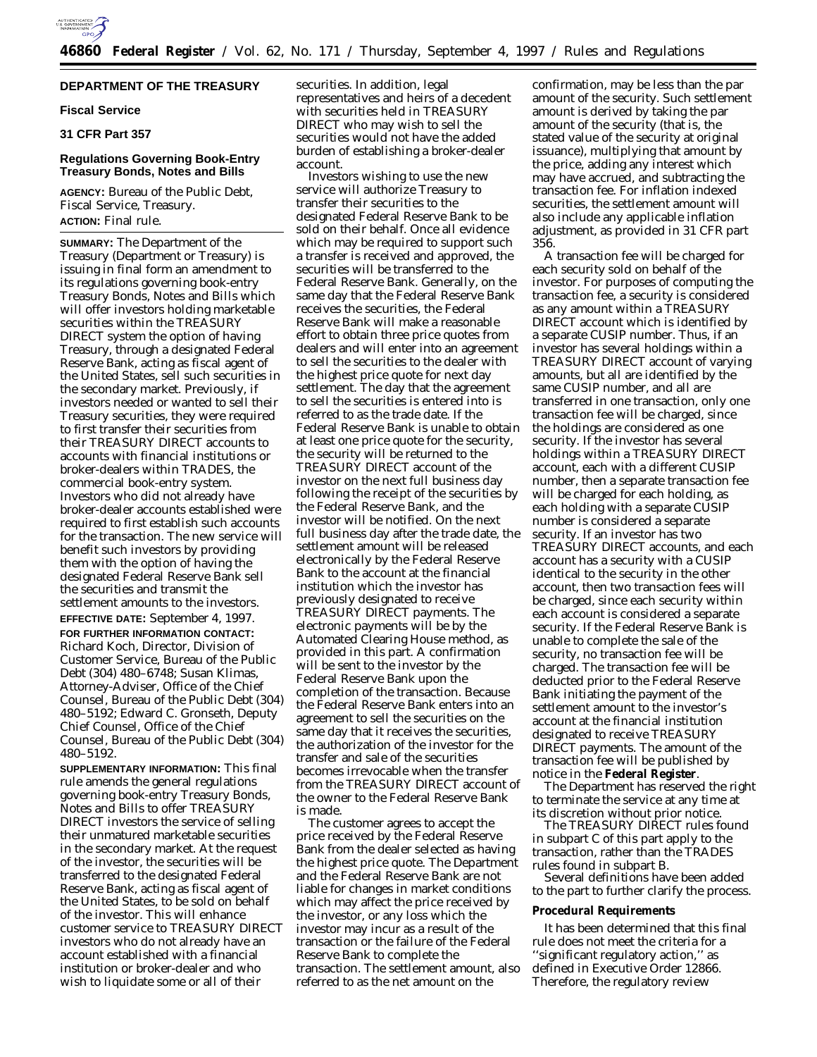

# **DEPARTMENT OF THE TREASURY**

### **Fiscal Service**

# **31 CFR Part 357**

## **Regulations Governing Book-Entry Treasury Bonds, Notes and Bills**

**AGENCY:** Bureau of the Public Debt, Fiscal Service, Treasury. **ACTION:** Final rule.

**SUMMARY:** The Department of the Treasury (Department or Treasury) is issuing in final form an amendment to its regulations governing book-entry Treasury Bonds, Notes and Bills which will offer investors holding marketable securities within the TREASURY DIRECT system the option of having Treasury, through a designated Federal Reserve Bank, acting as fiscal agent of the United States, sell such securities in the secondary market. Previously, if investors needed or wanted to sell their Treasury securities, they were required to first transfer their securities from their TREASURY DIRECT accounts to accounts with financial institutions or broker-dealers within TRADES, the commercial book-entry system. Investors who did not already have broker-dealer accounts established were required to first establish such accounts for the transaction. The new service will benefit such investors by providing them with the option of having the designated Federal Reserve Bank sell the securities and transmit the settlement amounts to the investors. **EFFECTIVE DATE:** September 4, 1997. **FOR FURTHER INFORMATION CONTACT:** Richard Koch, Director, Division of Customer Service, Bureau of the Public Debt (304) 480–6748; Susan Klimas, Attorney-Adviser, Office of the Chief Counsel, Bureau of the Public Debt (304) 480–5192; Edward C. Gronseth, Deputy Chief Counsel, Office of the Chief Counsel, Bureau of the Public Debt (304) 480–5192.

**SUPPLEMENTARY INFORMATION:** This final rule amends the general regulations governing book-entry Treasury Bonds, Notes and Bills to offer TREASURY DIRECT investors the service of selling their unmatured marketable securities in the secondary market. At the request of the investor, the securities will be transferred to the designated Federal Reserve Bank, acting as fiscal agent of the United States, to be sold on behalf of the investor. This will enhance customer service to TREASURY DIRECT investors who do not already have an account established with a financial institution or broker-dealer and who wish to liquidate some or all of their

securities. In addition, legal representatives and heirs of a decedent with securities held in TREASURY DIRECT who may wish to sell the securities would not have the added burden of establishing a broker-dealer account.

Investors wishing to use the new service will authorize Treasury to transfer their securities to the designated Federal Reserve Bank to be sold on their behalf. Once all evidence which may be required to support such a transfer is received and approved, the securities will be transferred to the Federal Reserve Bank. Generally, on the same day that the Federal Reserve Bank receives the securities, the Federal Reserve Bank will make a reasonable effort to obtain three price quotes from dealers and will enter into an agreement to sell the securities to the dealer with the highest price quote for next day settlement. The day that the agreement to sell the securities is entered into is referred to as the trade date. If the Federal Reserve Bank is unable to obtain at least one price quote for the security, the security will be returned to the TREASURY DIRECT account of the investor on the next full business day following the receipt of the securities by the Federal Reserve Bank, and the investor will be notified. On the next full business day after the trade date, the settlement amount will be released electronically by the Federal Reserve Bank to the account at the financial institution which the investor has previously designated to receive TREASURY DIRECT payments. The electronic payments will be by the Automated Clearing House method, as provided in this part. A confirmation will be sent to the investor by the Federal Reserve Bank upon the completion of the transaction. Because the Federal Reserve Bank enters into an agreement to sell the securities on the same day that it receives the securities, the authorization of the investor for the transfer and sale of the securities becomes irrevocable when the transfer from the TREASURY DIRECT account of the owner to the Federal Reserve Bank is made.

The customer agrees to accept the price received by the Federal Reserve Bank from the dealer selected as having the highest price quote. The Department and the Federal Reserve Bank are not liable for changes in market conditions which may affect the price received by the investor, or any loss which the investor may incur as a result of the transaction or the failure of the Federal Reserve Bank to complete the transaction. The settlement amount, also referred to as the net amount on the

confirmation, may be less than the par amount of the security. Such settlement amount is derived by taking the par amount of the security (that is, the stated value of the security at original issuance), multiplying that amount by the price, adding any interest which may have accrued, and subtracting the transaction fee. For inflation indexed securities, the settlement amount will also include any applicable inflation adjustment, as provided in 31 CFR part 356.

A transaction fee will be charged for each security sold on behalf of the investor. For purposes of computing the transaction fee, a security is considered as any amount within a TREASURY DIRECT account which is identified by a separate CUSIP number. Thus, if an investor has several holdings within a TREASURY DIRECT account of varying amounts, but all are identified by the same CUSIP number, and all are transferred in one transaction, only one transaction fee will be charged, since the holdings are considered as one security. If the investor has several holdings within a TREASURY DIRECT account, each with a different CUSIP number, then a separate transaction fee will be charged for each holding, as each holding with a separate CUSIP number is considered a separate security. If an investor has two TREASURY DIRECT accounts, and each account has a security with a CUSIP identical to the security in the other account, then two transaction fees will be charged, since each security within each account is considered a separate security. If the Federal Reserve Bank is unable to complete the sale of the security, no transaction fee will be charged. The transaction fee will be deducted prior to the Federal Reserve Bank initiating the payment of the settlement amount to the investor's account at the financial institution designated to receive TREASURY DIRECT payments. The amount of the transaction fee will be published by notice in the **Federal Register**.

The Department has reserved the right to terminate the service at any time at its discretion without prior notice.

The TREASURY DIRECT rules found in subpart C of this part apply to the transaction, rather than the TRADES rules found in subpart B.

Several definitions have been added to the part to further clarify the process.

### **Procedural Requirements**

It has been determined that this final rule does not meet the criteria for a ''significant regulatory action,'' as defined in Executive Order 12866. Therefore, the regulatory review